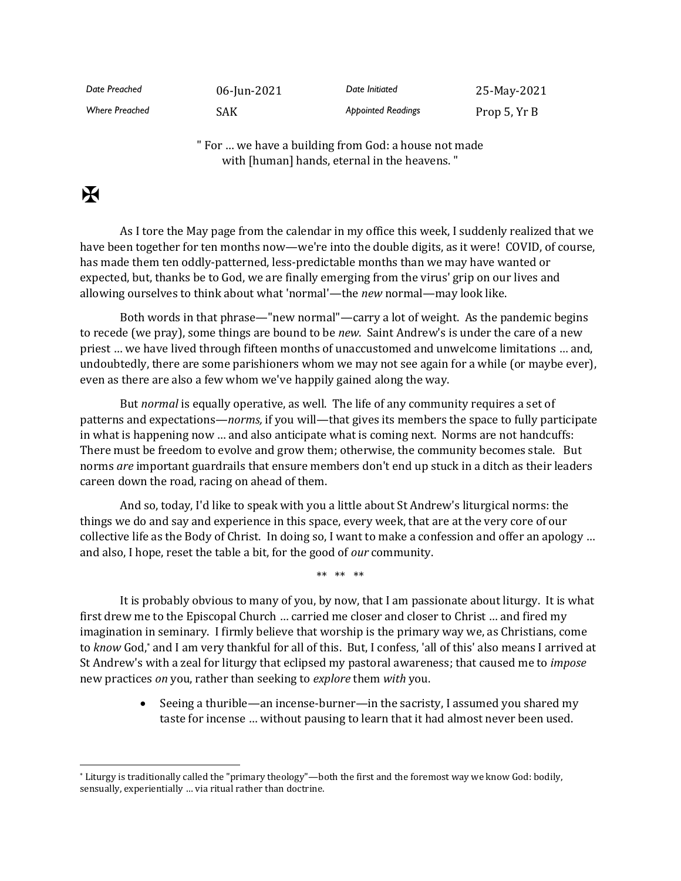| Date Preached  | 06-Jun-2021 | Date Initiated            | 25-May-2021  |
|----------------|-------------|---------------------------|--------------|
| Where Preached | SAK         | <b>Appointed Readings</b> | Prop 5, Yr B |

" For … we have a building from God: a house not made with [human] hands, eternal in the heavens. "

## $\mathbf F$

As I tore the May page from the calendar in my office this week, I suddenly realized that we have been together for ten months now—we're into the double digits, as it were! COVID, of course, has made them ten oddly-patterned, less-predictable months than we may have wanted or expected, but, thanks be to God, we are finally emerging from the virus' grip on our lives and allowing ourselves to think about what 'normal'—the *new* normal—may look like.

Both words in that phrase—"new normal"—carry a lot of weight. As the pandemic begins to recede (we pray), some things are bound to be *new*. Saint Andrew's is under the care of a new priest … we have lived through fifteen months of unaccustomed and unwelcome limitations … and, undoubtedly, there are some parishioners whom we may not see again for a while (or maybe ever), even as there are also a few whom we've happily gained along the way.

But *normal* is equally operative, as well. The life of any community requires a set of patterns and expectations—*norms,* if you will—that gives its members the space to fully participate in what is happening now … and also anticipate what is coming next. Norms are not handcuffs: There must be freedom to evolve and grow them; otherwise, the community becomes stale. But norms *are* important guardrails that ensure members don't end up stuck in a ditch as their leaders careen down the road, racing on ahead of them.

And so, today, I'd like to speak with you a little about St Andrew's liturgical norms: the things we do and say and experience in this space, every week, that are at the very core of our collective life as the Body of Christ. In doing so, I want to make a confession and offer an apology … and also, I hope, reset the table a bit, for the good of *our* community.

\*\* \*\* \*\*

It is probably obvious to many of you, by now, that I am passionate about liturgy. It is what first drew me to the Episcopal Church … carried me closer and closer to Christ … and fired my imagination in seminary. I firmly believe that worship is the primary way we, as Christians, come to *know* God, \* and I am very thankful for all of this. But, I confess, 'all of this' also means I arrived at St Andrew's with a zeal for liturgy that eclipsed my pastoral awareness; that caused me to *impose* new practices *on* you, rather than seeking to *explore* them *with* you.

> • Seeing a thurible—an incense-burner—in the sacristy, I assumed you shared my taste for incense … without pausing to learn that it had almost never been used.

<sup>\*</sup> Liturgy is traditionally called the "primary theology"—both the first and the foremost way we know God: bodily, sensually, experientially … via ritual rather than doctrine.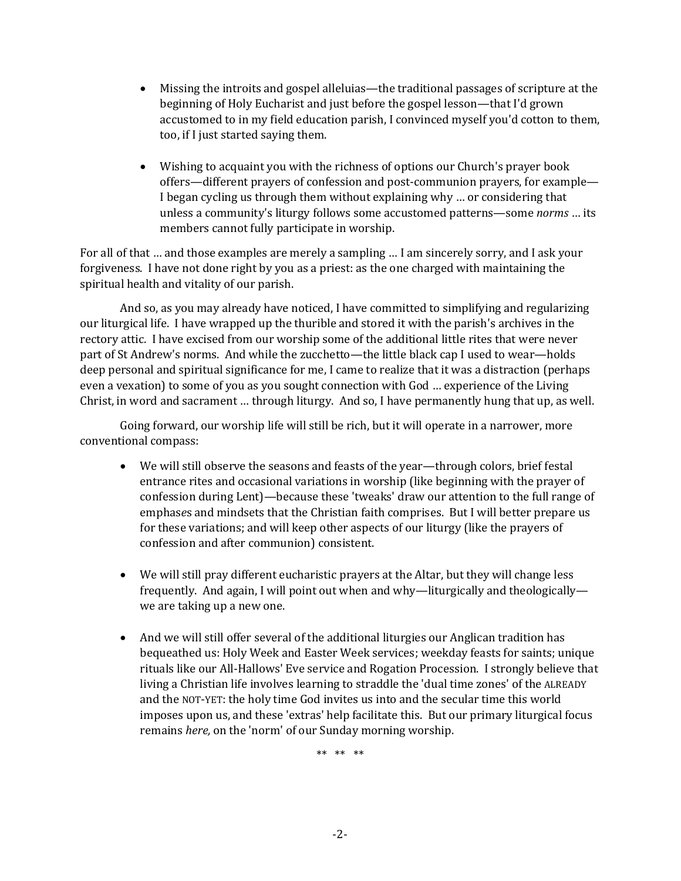- Missing the introits and gospel alleluias—the traditional passages of scripture at the beginning of Holy Eucharist and just before the gospel lesson—that I'd grown accustomed to in my field education parish, I convinced myself you'd cotton to them, too, if I just started saying them.
- Wishing to acquaint you with the richness of options our Church's prayer book offers—different prayers of confession and post-communion prayers, for example— I began cycling us through them without explaining why … or considering that unless a community's liturgy follows some accustomed patterns—some *norms* … its members cannot fully participate in worship.

For all of that … and those examples are merely a sampling … I am sincerely sorry, and I ask your forgiveness. I have not done right by you as a priest: as the one charged with maintaining the spiritual health and vitality of our parish.

And so, as you may already have noticed, I have committed to simplifying and regularizing our liturgical life. I have wrapped up the thurible and stored it with the parish's archives in the rectory attic. I have excised from our worship some of the additional little rites that were never part of St Andrew's norms. And while the zucchetto—the little black cap I used to wear—holds deep personal and spiritual significance for me, I came to realize that it was a distraction (perhaps even a vexation) to some of you as you sought connection with God … experience of the Living Christ, in word and sacrament … through liturgy. And so, I have permanently hung that up, as well.

Going forward, our worship life will still be rich, but it will operate in a narrower, more conventional compass:

- We will still observe the seasons and feasts of the year—through colors, brief festal entrance rites and occasional variations in worship (like beginning with the prayer of confession during Lent)—because these 'tweaks' draw our attention to the full range of emphas*e*s and mindsets that the Christian faith comprises. But I will better prepare us for these variations; and will keep other aspects of our liturgy (like the prayers of confession and after communion) consistent.
- We will still pray different eucharistic prayers at the Altar, but they will change less frequently. And again, I will point out when and why—liturgically and theologically we are taking up a new one.
- And we will still offer several of the additional liturgies our Anglican tradition has bequeathed us: Holy Week and Easter Week services; weekday feasts for saints; unique rituals like our All-Hallows' Eve service and Rogation Procession. I strongly believe that living a Christian life involves learning to straddle the 'dual time zones' of the ALREADY and the NOT-YET: the holy time God invites us into and the secular time this world imposes upon us, and these 'extras' help facilitate this. But our primary liturgical focus remains *here,* on the 'norm' of our Sunday morning worship.

\*\* \*\* \*\*